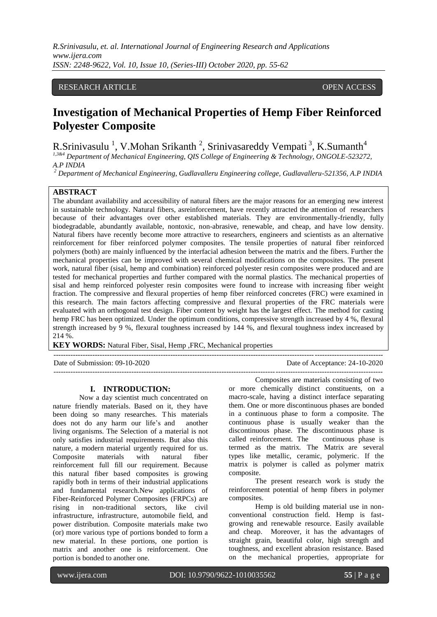# RESEARCH ARTICLE **CONTRACT ARTICLE** AND CONTRACT OPEN ACCESS

# **Investigation of Mechanical Properties of Hemp Fiber Reinforced Polyester Composite**

R.Srinivasulu<sup>1</sup>, V.Mohan Srikanth<sup>2</sup>, Srinivasareddy Vempati<sup>3</sup>, K.Sumanth<sup>4</sup>

*1,3&4 Department of Mechanical Engineering, QIS College of Engineering & Technology, ONGOLE-523272, A.P INDIA*

*<sup>2</sup> Department of Mechanical Engineering, Gudlavalleru Engineering college, Gudlavalleru-521356, A.P INDIA*

# **ABSTRACT**

The abundant availability and accessibility of natural fibers are the major reasons for an emerging new interest in sustainable technology. Natural fibers, asreinforcement, have recently attracted the attention of researchers because of their advantages over other established materials. They are environmentally-friendly, fully biodegradable, abundantly available, nontoxic, non-abrasive, renewable, and cheap, and have low density. Natural fibers have recently become more attractive to researchers, engineers and scientists as an alternative reinforcement for fiber reinforced polymer composites. The tensile properties of natural fiber reinforced polymers (both) are mainly influenced by the interfacial adhesion between the matrix and the fibers. Further the mechanical properties can be improved with several chemical modifications on the composites. The present work, natural fiber (sisal, hemp and combination) reinforced polyester resin composites were produced and are tested for mechanical properties and further compared with the normal plastics. The mechanical properties of sisal and hemp reinforced polyester resin composites were found to increase with increasing fiber weight fraction. The compressive and flexural properties of hemp fiber reinforced concretes (FRC) were examined in this research. The main factors affecting compressive and flexural properties of the FRC materials were evaluated with an orthogonal test design. Fiber content by weight has the largest effect. The method for casting hemp FRC has been optimized. Under the optimum conditions, compressive strength increased by 4 %, flexural strength increased by 9 %, flexural toughness increased by 144 %, and flexural toughness index increased by 214 %.

---------------------------------------------------------------------------------------------------------------------------------------

---------------------------------------------------------------------------------------------------------------------------------------

**KEY WORDS:** Natural Fiber, Sisal, Hemp ,FRC, Mechanical properties

Date of Submission: 09-10-2020 Date of Acceptance: 24-10-2020

#### **I. INTRODUCTION:**

Now a day scientist much concentrated on nature friendly materials. Based on it, they have been doing so many researches. T his materials does not do any harm our life's and another living organisms. The Selection of a material is not only satisfies industrial requirements. But also this nature, a modern material urgently required for us. Composite materials with natural fiber reinforcement full fill our requirement. Because this natural fiber based composites is growing rapidly both in terms of their industrial applications and fundamental research.New applications of Fiber-Reinforced Polymer Composites (FRPCs) are rising in non-traditional sectors, like civil infrastructure, infrastructure, automobile field, and power distribution. Composite materials make two (or) more various type of portions bonded to form a new material. In these portions, one portion is matrix and another one is reinforcement. One portion is bonded to another one.

Composites are materials consisting of two or more chemically distinct constituents, on a macro-scale, having a distinct interface separating them. One or more discontinuous phases are bonded in a continuous phase to form a composite. The continuous phase is usually weaker than the discontinuous phase. The discontinuous phase is called reinforcement. The continuous phase is termed as the matrix*.* The Matrix are several types like metallic, ceramic, polymeric. If the matrix is polymer is called as polymer matrix composite.

The present research work is study the reinforcement potential of hemp fibers in polymer composites.

Hemp is old building material use in nonconventional construction field. Hemp is fastgrowing and renewable resource. Easily available and cheap. Moreover, it has the advantages of straight grain, beautiful color, high strength and toughness, and excellent abrasion resistance. Based on the mechanical properties, appropriate for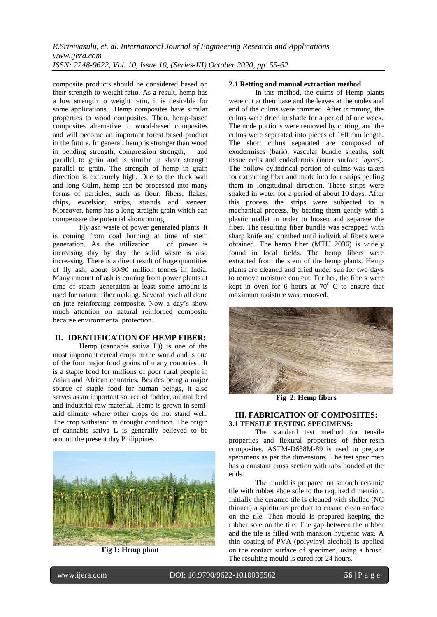composite products should be considered based on their strength to weight ratio. As a result, hemp has a low strength to weight ratio, it is desirable for some applications. Hemp composites have similar properties to wood composites. Then, hemp-based composites alternative to wood-based composites and will become an important forest based product in the future. In general, hemp is stronger than wood in bending strength, compression strength, and parallel to grain and is similar in shear strength parallel to grain. The strength of hemp in grain direction is extremely high. Due to the thick wall and long Culm, hemp can be processed into many forms of particles, such as flour, fibers, flakes, chips, excelsior, strips, strands and veneer. Moreover, hemp has a long straight grain which can compensate the potential shortcoming.

Fly ash waste of power generated plants. It is coming from coal burning at time of stem<br>generation. As the utilization of power is generation. As the utilization increasing day by day the solid waste is also increasing. There is a direct result of huge quantities of fly ash, about 80-90 million tonnes in India. Many amount of ash is coming from power plants at time of steam generation at least some amount is used for natural fiber making. Several reach all done on jute reinforcing composite. Now a day's show much attention on natural reinforced composite because environmental protection.

## **II. IDENTIFICATION OF HEMP FIBER:**

Hemp (cannabis sativa L)) is one of the most important cereal crops in the world and is one of the four major food grains of many countries . It is a staple food for millions of poor rural people in Asian and African countries. Besides being a major source of staple food for human beings, it also serves as an important source of fodder, animal feed and industrial raw material. Hemp is grown in semiarid climate where other crops do not stand well. The crop withstand in drought condition. The origin of cannabis sativa L is generally believed to be around the present day Philippines.



**Fig 1: Hemp plant**

## **2.1 Retting and manual extraction method**

In this method, the culms of Hemp plants were cut at their base and the leaves at the nodes and end of the culms were trimmed. After trimming, the culms were dried in shade for a period of one week. The node portions were removed by cutting, and the culms were separated into pieces of 160 mm length. The short culms separated are composed of exodermises (bark), vascular bundle sheaths, soft tissue cells and endodermis (inner surface layers). The hollow cylindrical portion of culms was taken for extracting fiber and made into four strips peeling them in longitudinal direction. These strips were soaked in water for a period of about 10 days. After this process the strips were subjected to a mechanical process, by beating them gently with a plastic mallet in order to loosen and separate the fiber. The resulting fiber bundle was scrapped with sharp knife and combed until individual fibers were obtained. The hemp fiber (MTU 2036) is widely found in local fields. The hemp fibers were extracted from the stem of the hemp plants. Hemp plants are cleaned and dried under sun for two days to remove moisture content. Further, the fibers were kept in oven for 6 hours at  $70^{\circ}$  C to ensure that maximum moisture was removed.



**Fig 2: Hemp fibers**

## **III. FABRICATION OF COMPOSITES: 3.1 TENSILE TESTING SPECIMENS:**

The standard test method for tensile properties and flexural properties of fiber-resin composites, ASTM-D638M-89 is used to prepare specimens as per the dimensions. The test specimen has a constant cross section with tabs bonded at the ends.

The mould is prepared on smooth ceramic tile with rubber shoe sole to the required dimension. Initially the ceramic tile is cleaned with shellac (NC thinner) a spirituous product to ensure clean surface on the tile. Then mould is prepared keeping the rubber sole on the tile. The gap between the rubber and the tile is filled with mansion hygienic wax. A thin coating of PVA (polyvinyl alcohol) is applied on the contact surface of specimen, using a brush. The resulting mould is cured for 24 hours.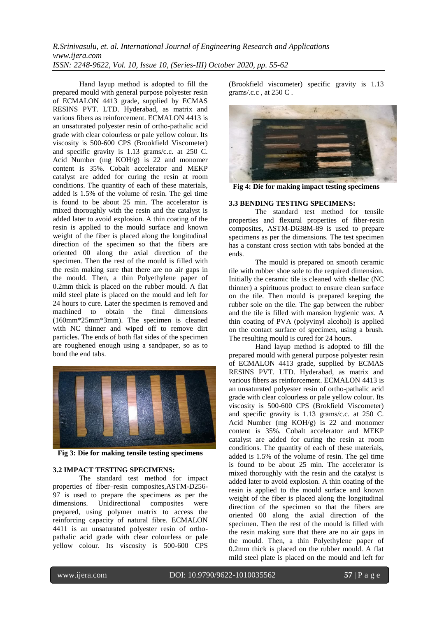Hand layup method is adopted to fill the prepared mould with general purpose polyester resin of ECMALON 4413 grade, supplied by ECMAS RESINS PVT. LTD. Hyderabad, as matrix and various fibers as reinforcement. ECMALON 4413 is an unsaturated polyester resin of ortho-pathalic acid grade with clear colourless or pale yellow colour. Its viscosity is 500-600 CPS (Brookfield Viscometer) and specific gravity is 1.13 grams/c.c. at 250 C. Acid Number (mg KOH/g) is 22 and monomer content is 35%. Cobalt accelerator and MEKP catalyst are added for curing the resin at room conditions. The quantity of each of these materials, added is 1.5% of the volume of resin. The gel time is found to be about 25 min. The accelerator is mixed thoroughly with the resin and the catalyst is added later to avoid explosion. A thin coating of the resin is applied to the mould surface and known weight of the fiber is placed along the longitudinal direction of the specimen so that the fibers are oriented 00 along the axial direction of the specimen. Then the rest of the mould is filled with the resin making sure that there are no air gaps in the mould. Then, a thin Polyethylene paper of 0.2mm thick is placed on the rubber mould. A flat mild steel plate is placed on the mould and left for 24 hours to cure. Later the specimen is removed and machined to obtain the final dimensions (160mm\*25mm\*3mm). The specimen is cleaned with NC thinner and wiped off to remove dirt particles. The ends of both flat sides of the specimen are roughened enough using a sandpaper, so as to bond the end tabs.



**Fig 3: Die for making tensile testing specimens**

# **3.2 IMPACT TESTING SPECIMENS:**

The standard test method for impact properties of fiber–resin composites,ASTM-D256- 97 is used to prepare the specimens as per the dimensions. Unidirectional composites were prepared, using polymer matrix to access the reinforcing capacity of natural fibre. ECMALON 4411 is an unsaturated polyester resin of orthopathalic acid grade with clear colourless or pale yellow colour. Its viscosity is 500-600 CPS

(Brookfield viscometer) specific gravity is 1.13 grams/.c.c , at 250 C .



**Fig 4: Die for making impact testing specimens**

## **3.3 BENDING TESTING SPECIMENS:**

The standard test method for tensile properties and flexural properties of fiber-resin composites, ASTM-D638M-89 is used to prepare specimens as per the dimensions. The test specimen has a constant cross section with tabs bonded at the ends.

The mould is prepared on smooth ceramic tile with rubber shoe sole to the required dimension. Initially the ceramic tile is cleaned with shellac (NC thinner) a spirituous product to ensure clean surface on the tile. Then mould is prepared keeping the rubber sole on the tile. The gap between the rubber and the tile is filled with mansion hygienic wax. A thin coating of PVA (polyvinyl alcohol) is applied on the contact surface of specimen, using a brush. The resulting mould is cured for 24 hours.

Hand layup method is adopted to fill the prepared mould with general purpose polyester resin of ECMALON 4413 grade, supplied by ECMAS RESINS PVT. LTD. Hyderabad, as matrix and various fibers as reinforcement. ECMALON 4413 is an unsaturated polyester resin of ortho-pathalic acid grade with clear colourless or pale yellow colour. Its viscosity is 500-600 CPS (Brokfield Viscometer) and specific gravity is 1.13 grams/c.c. at 250 C. Acid Number (mg KOH/g) is 22 and monomer content is 35%. Cobalt accelerator and MEKP catalyst are added for curing the resin at room conditions. The quantity of each of these materials, added is 1.5% of the volume of resin. The gel time is found to be about 25 min. The accelerator is mixed thoroughly with the resin and the catalyst is added later to avoid explosion. A thin coating of the resin is applied to the mould surface and known weight of the fiber is placed along the longitudinal direction of the specimen so that the fibers are oriented 00 along the axial direction of the specimen. Then the rest of the mould is filled with the resin making sure that there are no air gaps in the mould. Then, a thin Polyethylene paper of 0.2mm thick is placed on the rubber mould. A flat mild steel plate is placed on the mould and left for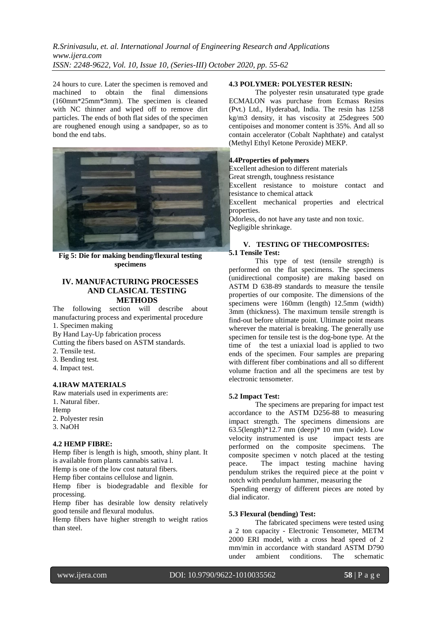24 hours to cure. Later the specimen is removed and machined to obtain the final dimensions (160mm\*25mm\*3mm). The specimen is cleaned with NC thinner and wiped off to remove dirt particles. The ends of both flat sides of the specimen are roughened enough using a sandpaper, so as to bond the end tabs.



**Fig 5: Die for making bending/flexural testing specimens**

# **IV. MANUFACTURING PROCESSES AND CLASICAL TESTING METHODS**

The following section will describe about manufacturing process and experimental procedure 1. Specimen making

By Hand Lay-Up fabrication process

Cutting the fibers based on ASTM standards.

- 2. Tensile test.
- 3. Bending test.
- 4. Impact test.

#### **4.1RAW MATERIALS**

Raw materials used in experiments are: 1. Natural fiber.

- 
- Hemp
- 2. Polyester resin
- 3. NaOH

#### **4.2 HEMP FIBRE:**

Hemp fiber is length is high, smooth, shiny plant. It is available from plants cannabis sativa l.

Hemp is one of the low cost natural fibers.

Hemp fiber contains cellulose and lignin.

Hemp fiber is biodegradable and flexible for processing.

Hemp fiber has desirable low density relatively good tensile and flexural modulus.

Hemp fibers have higher strength to weight ratios than steel.

#### **4.3 POLYMER: POLYESTER RESIN:**

The polyester resin unsaturated type grade ECMALON was purchase from Ecmass Resins (Pvt.) Ltd., Hyderabad, India. The resin has 1258 kg/m3 density, it has viscosity at 25degrees 500 centipoises and monomer content is 35%. And all so contain accelerator (Cobalt Naphthate) and catalyst (Methyl Ethyl Ketone Peroxide) MEKP.

## **4.4Properties of polymers**

Excellent adhesion to different materials

Great strength, toughness resistance

Excellent resistance to moisture contact and resistance to chemical attack

Excellent mechanical properties and electrical properties.

Odorless, do not have any taste and non toxic. Negligible shrinkage.

## **V. TESTING OF THECOMPOSITES: 5.1 Tensile Test:**

This type of test (tensile strength) is performed on the flat specimens. The specimens (unidirectional composite) are making based on ASTM D 638-89 standards to measure the tensile properties of our composite. The dimensions of the specimens were 160mm (length) 12.5mm (width) 3mm (thickness). The maximum tensile strength is find-out before ultimate point. Ultimate point means wherever the material is breaking. The generally use specimen for tensile test is the dog-bone type. At the time of the test a uniaxial load is applied to two ends of the specimen. Four samples are preparing with different fiber combinations and all so different volume fraction and all the specimens are test by electronic tensometer.

#### **5.2 Impact Test:**

The specimens are preparing for impact test accordance to the ASTM D256-88 to measuring impact strength. The specimens dimensions are  $63.5$ (length)\*12.7 mm (deep)\* 10 mm (wide). Low velocity instrumented is use impact tests are performed on the composite specimens. The composite specimen v notch placed at the testing peace. The impact testing machine having pendulum strikes the required piece at the point v notch with pendulum hammer, measuring the

Spending energy of different pieces are noted by dial indicator.

#### **5.3 Flexural (bending) Test:**

The fabricated specimens were tested using a 2 ton capacity - Electronic Tensometer, METM 2000 ERI model, with a cross head speed of 2 mm/min in accordance with standard ASTM D790 under ambient conditions. The schematic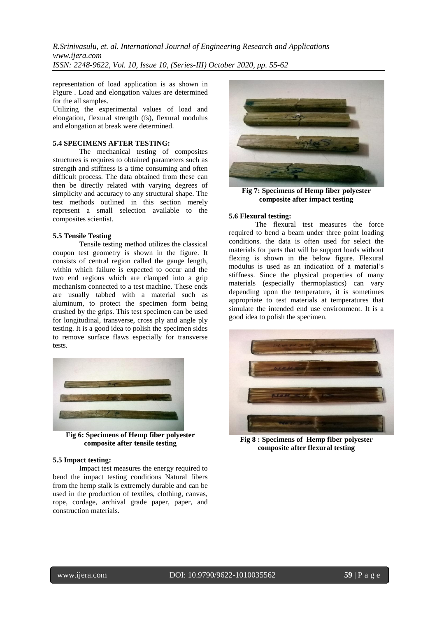representation of load application is as shown in Figure . Load and elongation values are determined for the all samples.

Utilizing the experimental values of load and elongation, flexural strength (fs), flexural modulus and elongation at break were determined.

## **5.4 SPECIMENS AFTER TESTING:**

The mechanical testing of composites structures is requires to obtained parameters such as strength and stiffness is a time consuming and often difficult process. The data obtained from these can then be directly related with varying degrees of simplicity and accuracy to any structural shape. The test methods outlined in this section merely represent a small selection available to the composites scientist.

#### **5.5 Tensile Testing**

Tensile testing method utilizes the classical coupon test geometry is shown in the figure. It consists of central region called the gauge length, within which failure is expected to occur and the two end regions which are clamped into a grip mechanism connected to a test machine. These ends are usually tabbed with a material such as aluminum, to protect the specimen form being crushed by the grips. This test specimen can be used for longitudinal, transverse, cross ply and angle ply testing. It is a good idea to polish the specimen sides to remove surface flaws especially for transverse tests.



**Fig 6: Specimens of Hemp fiber polyester composite after tensile testing**

#### **5.5 Impact testing:**

Impact test measures the energy required to bend the impact testing conditions Natural fibers from the hemp stalk is extremely durable and can be used in the production of textiles, clothing, canvas, rope, cordage, archival grade paper, paper, and construction materials.



**Fig 7: Specimens of Hemp fiber polyester composite after impact testing**

#### **5.6 Flexural testing:**

The flexural test measures the force required to bend a beam under three point loading conditions. the data is often used for select the materials for parts that will be support loads without flexing is shown in the below figure. Flexural modulus is used as an indication of a material's stiffness. Since the physical properties of many materials (especially thermoplastics) can vary depending upon the temperature, it is sometimes appropriate to test materials at temperatures that simulate the intended end use environment. It is a good idea to polish the specimen.



**Fig 8 : Specimens of Hemp fiber polyester composite after flexural testing**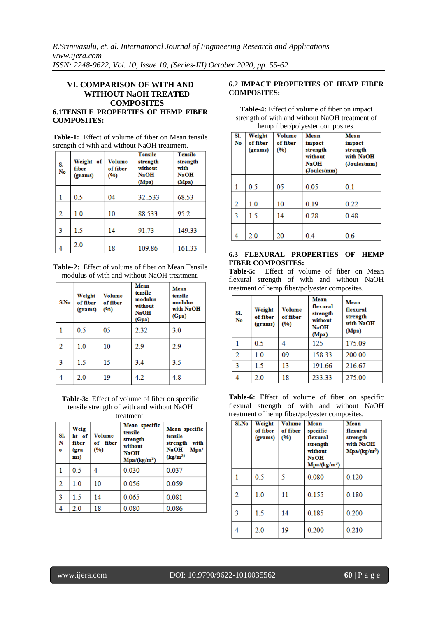# **VI. COMPARISON OF WITH AND WITHOUT NaOH TREATED COMPOSITES 6.1TENSILE PROPERTIES OF HEMP FIBER COMPOSITES:**

**Table-1:** Effect of volume of fiber on Mean tensile strength of with and without NaOH treatment.

| S.<br>No | Weight of<br>fiber<br>(grams) | <b>Volume</b><br>of fiber<br>(96) | <b>Tensile</b><br>strength<br>without<br><b>NaOH</b><br>(Mpa) | <b>Tensile</b><br>strength<br>with<br><b>NaOH</b><br>(Mpa) |
|----------|-------------------------------|-----------------------------------|---------------------------------------------------------------|------------------------------------------------------------|
| 1        | 0.5                           | 04                                | 32.533                                                        | 68.53                                                      |
| 2        | 1.0                           | 10                                | 88.533                                                        | 95.2                                                       |
| 3        | 1.5                           | 14                                | 91.73                                                         | 149.33                                                     |
| 4        | 2.0                           | 18                                | 109.86                                                        | 161.33                                                     |

**Table-2:** Effect of volume of fiber on Mean Tensile modulus of with and without NaOH treatment.

| S.No | Weight<br>of fiber<br>(grams) | <b>Volume</b><br>of fiber<br>(96) | <b>Mean</b><br>tensile<br>modulus<br>without<br><b>NaOH</b><br>(Gpa) | <b>Mean</b><br>tensile<br>modulus<br>with NaOH<br>(Gpa) |
|------|-------------------------------|-----------------------------------|----------------------------------------------------------------------|---------------------------------------------------------|
|      | 0.5                           | 05                                | 2.32                                                                 | 3.0                                                     |
| 2    | 1.0                           | 10                                | 2.9                                                                  | 2.9                                                     |
| 3    | 1.5                           | 15                                | 3.4                                                                  | 3.5                                                     |
|      | 2.0                           | 19                                | 4.2                                                                  | 4.8                                                     |

**Table-3:** Effect of volume of fiber on specific tensile strength of with and without NaOH treatment.

| Sl.<br>N<br>$\bullet$ | Weig<br>ht of<br>fiber<br>(gra<br>ms) | Volume<br>of fiber<br>(96) | Mean specific<br>tensile<br>strength<br>without<br><b>NaOH</b><br>$Mpa/(kg/m^3)$ | Mean specific<br>tensile<br>strength with<br><b>NaOH</b><br>Mpa/<br>$(kg/m^3)$ |
|-----------------------|---------------------------------------|----------------------------|----------------------------------------------------------------------------------|--------------------------------------------------------------------------------|
|                       | 0.5                                   |                            | 0.030                                                                            | 0.037                                                                          |
| $\overline{2}$        | 1.0                                   | 10                         | 0.056                                                                            | 0.059                                                                          |
| $\overline{3}$        | 1.5                                   | 14                         | 0.065                                                                            | 0.081                                                                          |
| -4                    | 2.0                                   | 18                         | 0.080                                                                            | 0.086                                                                          |

## **6.2 IMPACT PROPERTIES OF HEMP FIBER COMPOSITES:**

| SI.<br>No | Weight<br>of fiber<br>(grams) | <b>Volume</b><br>of fiber<br>(%) | Mean<br>impact<br>strength<br>without<br><b>NaOH</b><br>(Joules/mm) | Mean<br>impact<br>strength<br>with NaOH<br>(Joules/mm) |
|-----------|-------------------------------|----------------------------------|---------------------------------------------------------------------|--------------------------------------------------------|
| 1         | 0.5                           | 05                               | 0.05                                                                | 0.1                                                    |
| 2         | 1.0                           | 10                               | 0.19                                                                | 0.22                                                   |
| 3         | 1.5                           | 14                               | 0.28                                                                | 0.48                                                   |
| 4         | 2.0                           | 20                               | 0.4                                                                 | 0.6                                                    |

**Table-4:** Effect of volume of fiber on impact strength of with and without NaOH treatment of hemp fiber/polyester composites.

# **6.3 FLEXURAL PROPERTIES OF HEMP FIBER COMPOSITES:**

**Table-5:** Effect of volume of fiber on Mean flexural strength of with and without NaOH treatment of hemp fiber/polyester composites.

| SI.<br>No | Weight<br>of fiber<br>(grams) | Volume<br>of fiber<br>(%) | Mean<br>flexural<br>strength<br>without<br><b>NaOH</b><br>(Mpa) | Mean<br>flexural<br>strength<br>with NaOH<br>(Mpa) |
|-----------|-------------------------------|---------------------------|-----------------------------------------------------------------|----------------------------------------------------|
|           | 0.5                           |                           | 125                                                             | 175.09                                             |
|           | 1.0                           | 09                        | 158.33                                                          | 200.00                                             |
| ٩         | 15                            | 13                        | 191.66                                                          | 216.67                                             |
|           | 2.0                           | 18                        | 233.33                                                          | 275.00                                             |

**Table-6:** Effect of volume of fiber on specific flexural strength of with and without NaOH treatment of hemp fiber/polyester composites.

| <b>Sl.No</b> | Weight<br>of fiber<br>(grams) | <b>Volume</b><br>of fiber<br>(%) | <b>Mean</b><br>specific<br>flexural<br>strength<br>without<br><b>NaOH</b><br>Mpa/(kg/m <sup>3</sup> ) | <b>Mean</b><br>flexural<br>strength<br>with NaOH<br>Mpa/(kg/m <sup>3</sup> ) |
|--------------|-------------------------------|----------------------------------|-------------------------------------------------------------------------------------------------------|------------------------------------------------------------------------------|
|              | 0.5                           | 5                                | 0.080                                                                                                 | 0.120                                                                        |
| 2            | 1.0                           | 11                               | 0.155                                                                                                 | 0.180                                                                        |
| 3            | 1.5                           | 14                               | 0.185                                                                                                 | 0.200                                                                        |
|              | 2.0                           | 19                               | 0.200                                                                                                 | 0.210                                                                        |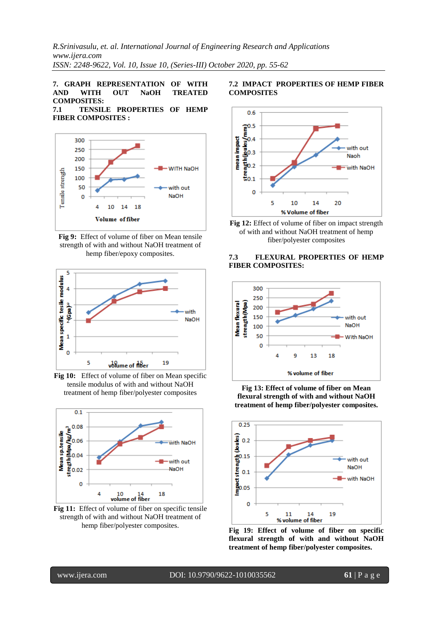# **7. GRAPH REPRESENTATION OF WITH AND WITH OUT NaOH TREATED COMPOSITES:**

# **7.1 TENSILE PROPERTIES OF HEMP FIBER COMPOSITES :**



**Fig 9:** Effect of volume of fiber on Mean tensile strength of with and without NaOH treatment of hemp fiber/epoxy composites.



**Fig 10:** Effect of volume of fiber on Mean specific tensile modulus of with and without NaOH treatment of hemp fiber/polyester composites



**Fig 11:** Effect of volume of fiber on specific tensile strength of with and without NaOH treatment of hemp fiber/polyester composites.

## **7.2 IMPACT PROPERTIES OF HEMP FIBER COMPOSITES**





## **7.3 FLEXURAL PROPERTIES OF HEMP FIBER COMPOSITES:**



**Fig 13: Effect of volume of fiber on Mean flexural strength of with and without NaOH treatment of hemp fiber/polyester composites.**



**Fig 19: Effect of volume of fiber on specific flexural strength of with and without NaOH treatment of hemp fiber/polyester composites.**